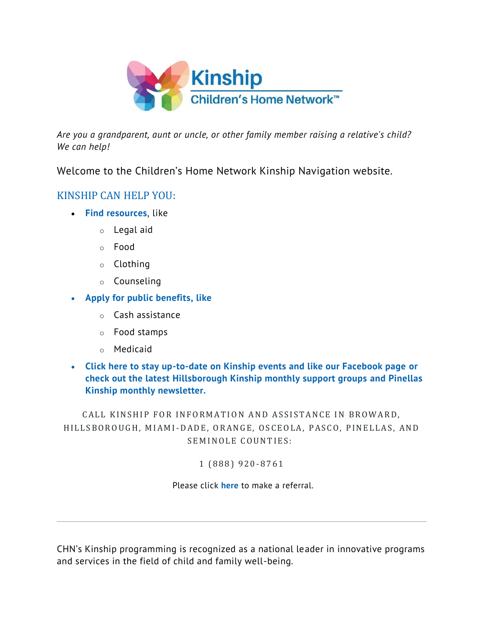

*Are you a grandparent, aunt or uncle, or other family member raising a relative's child? We can help!*

Welcome to the Children's Home Network Kinship Navigation website.

## KINSHIP CAN HELP YOU:

- **[Find resources](about:blank)**, like
	- o Legal aid
	- o Food
	- o Clothing
	- o Counseling
- **[Apply for public benefits,](about:blank) like**
	- o Cash assistance
	- o Food stamps
	- o Medicaid
- **[Click here to stay up-to-date on Kinship events and like our Facebook page](about:blank) or check out the latest [Hillsborough Kinship monthly support groups](about:blank) and [Pinellas](about:blank)  [Kinship monthly newsletter.](about:blank)**

CALL KINSHIP FOR INFORMATION AND ASSISTANCE IN BROWARD, HILLSBOROUGH, MIAMI-DADE, ORANGE, OSCEOLA, PASCO, PINELLAS, AND SEMINOLE COUNTIES:

1 ( 8 8 8 ) 9 2 0-8 7 6 1

Please click **[here](about:blank)** to make a referral.

CHN's Kinship programming is recognized as a national leader in innovative programs and services in the field of child and family well-being.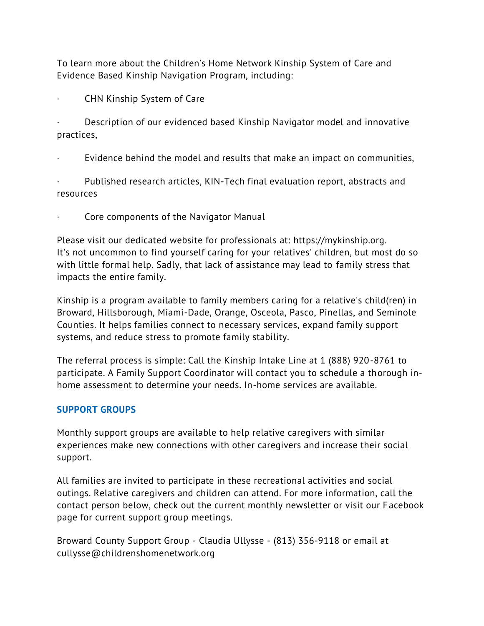To learn more about the Children's Home Network Kinship System of Care and Evidence Based Kinship Navigation Program, including:

· CHN Kinship System of Care

Description of our evidenced based Kinship Navigator model and innovative practices,

Evidence behind the model and results that make an impact on communities,

Published research articles, KIN-Tech final evaluation report, abstracts and resources

Core components of the Navigator Manual

Please visit our dedicated website for professionals at: [https://mykinship.org.](about:blank) It's not uncommon to find yourself caring for your relatives' children, but most do so with little formal help. Sadly, that lack of assistance may lead to family stress that impacts the entire family.

Kinship is a program available to family members caring for a relative's child(ren) in Broward, Hillsborough, Miami-Dade, Orange, Osceola, Pasco, Pinellas, and Seminole Counties. It helps families connect to necessary services, expand family support systems, and reduce stress to promote family stability.

The referral process is simple: Call the Kinship Intake Line at 1 (888) 920-8761 to participate. A Family Support Coordinator will contact you to schedule a thorough inhome assessment to determine your needs. In-home services are available.

## **SUPPORT GROUPS**

Monthly support groups are available to help relative caregivers with similar experiences make new connections with other caregivers and increase their social support.

All families are invited to participate in these recreational activities and social outings. Relative caregivers and children can attend. For more information, call the contact person below, check out the current monthly newsletter or visit our Facebook page for current support group meetings.

Broward County Support Group - Claudia Ullysse - (813) 356-9118 or email at cullysse@childrenshomenetwork.org